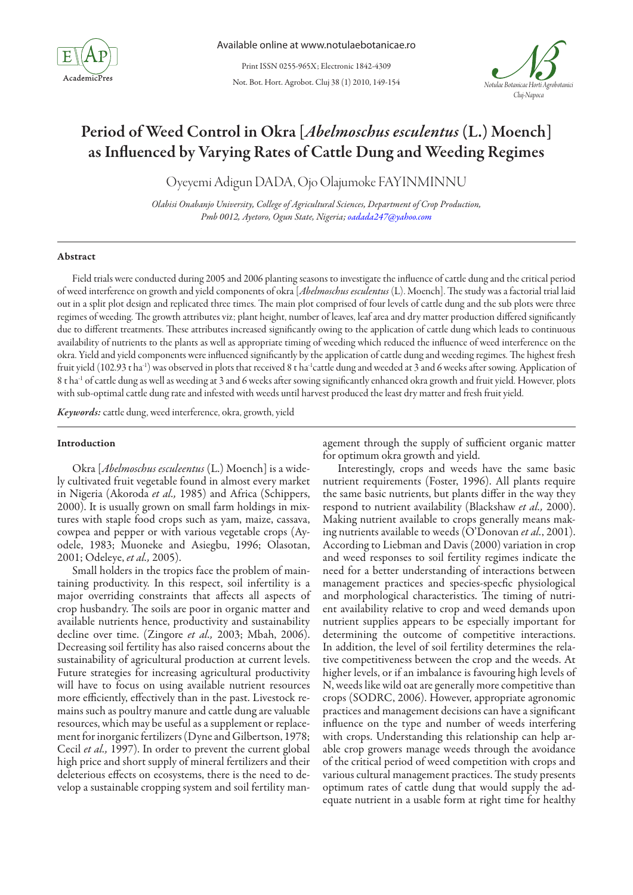

Print ISSN 0255-965X; Electronic 1842-4309

Not. Bot. Hort. Agrobot. Cluj 38 (1) 2010, 149-154



# Period of Weed Control in Okra [*Abelmoschus esculentus* (L.) Moench] as Influenced by Varying Rates of Cattle Dung and Weeding Regimes

Oyeyemi Adigun DADA, Ojo Olajumoke FAYINMINNU

*Olabisi Onabanjo University, College of Agricultural Sciences, Department of Crop Production, Pmb 0012, Ayetoro, Ogun State, Nigeria; oadada247@yahoo.com*

#### Abstract

Field trials were conducted during 2005 and 2006 planting seasons to investigate the influence of cattle dung and the critical period of weed interference on growth and yield components of okra [*Abelmoschus esculentus* (L). Moench]. The study was a factorial trial laid out in a split plot design and replicated three times. The main plot comprised of four levels of cattle dung and the sub plots were three regimes of weeding. The growth attributes viz; plant height, number of leaves, leaf area and dry matter production differed significantly due to different treatments. These attributes increased significantly owing to the application of cattle dung which leads to continuous availability of nutrients to the plants as well as appropriate timing of weeding which reduced the influence of weed interference on the okra. Yield and yield components were influenced significantly by the application of cattle dung and weeding regimes. The highest fresh fruit yield (102.93 t ha<sup>-1</sup>) was observed in plots that received 8 t ha<sup>-1</sup>cattle dung and weeded at 3 and 6 weeks after sowing. Application of 8 t ha-1 of cattle dung as well as weeding at 3 and 6 weeks after sowing significantly enhanced okra growth and fruit yield. However, plots with sub-optimal cattle dung rate and infested with weeds until harvest produced the least dry matter and fresh fruit yield.

*Keywords:* cattle dung, weed interference, okra, growth, yield

#### Introduction

Okra [*Abelmoschus esculeentus* (L.) Moench] is a widely cultivated fruit vegetable found in almost every market in Nigeria (Akoroda *et al.,* 1985) and Africa (Schippers, 2000). It is usually grown on small farm holdings in mixtures with staple food crops such as yam, maize, cassava, cowpea and pepper or with various vegetable crops (Ayodele, 1983; Muoneke and Asiegbu, 1996; Olasotan, 2001; Odeleye, *et al.,* 2005).

Small holders in the tropics face the problem of maintaining productivity. In this respect, soil infertility is a major overriding constraints that affects all aspects of crop husbandry. The soils are poor in organic matter and available nutrients hence, productivity and sustainability decline over time. (Zingore *et al.,* 2003; Mbah, 2006). Decreasing soil fertility has also raised concerns about the sustainability of agricultural production at current levels. Future strategies for increasing agricultural productivity will have to focus on using available nutrient resources more efficiently, effectively than in the past. Livestock remains such as poultry manure and cattle dung are valuable resources, which may be useful as a supplement or replacement for inorganic fertilizers (Dyne and Gilbertson, 1978; Cecil *et al.,* 1997). In order to prevent the current global high price and short supply of mineral fertilizers and their deleterious effects on ecosystems, there is the need to develop a sustainable cropping system and soil fertility management through the supply of sufficient organic matter for optimum okra growth and yield.

Interestingly, crops and weeds have the same basic nutrient requirements (Foster, 1996). All plants require the same basic nutrients, but plants differ in the way they respond to nutrient availability (Blackshaw *et al.,* 2000). Making nutrient available to crops generally means making nutrients available to weeds (O'Donovan *et al.*, 2001). According to Liebman and Davis (2000) variation in crop and weed responses to soil fertility regimes indicate the need for a better understanding of interactions between management practices and species-specfic physiological and morphological characteristics. The timing of nutrient availability relative to crop and weed demands upon nutrient supplies appears to be especially important for determining the outcome of competitive interactions. In addition, the level of soil fertility determines the relative competitiveness between the crop and the weeds. At higher levels, or if an imbalance is favouring high levels of N, weeds like wild oat are generally more competitive than crops (SODRC, 2006). However, appropriate agronomic practices and management decisions can have a significant influence on the type and number of weeds interfering with crops. Understanding this relationship can help arable crop growers manage weeds through the avoidance of the critical period of weed competition with crops and various cultural management practices. The study presents optimum rates of cattle dung that would supply the adequate nutrient in a usable form at right time for healthy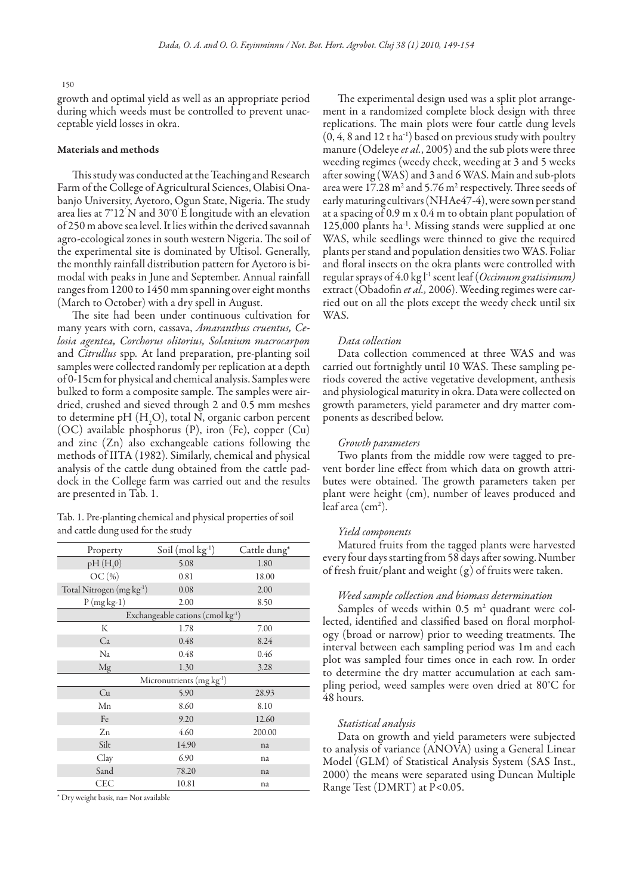#### 150

growth and optimal yield as well as an appropriate period during which weeds must be controlled to prevent unacceptable yield losses in okra.

#### Materials and methods

This study was conducted at the Teaching and Research Farm of the College of Agricultural Sciences, Olabisi Onabanjo University, Ayetoro, Ogun State, Nigeria. The study area lies at 7°12' N and 30°0' E longitude with an elevation of 250 m above sea level. It lies within the derived savannah agro-ecological zones in south western Nigeria. The soil of the experimental site is dominated by Ultisol. Generally, the monthly rainfall distribution pattern for Ayetoro is bimodal with peaks in June and September. Annual rainfall ranges from 1200 to 1450 mm spanning over eight months (March to October) with a dry spell in August.

The site had been under continuous cultivation for many years with corn, cassava, *Amaranthus cruentus, Celosia agentea, Corchorus olitorius, Solanium macrocarpon*  and *Citrullus* spp*.* At land preparation, pre-planting soil samples were collected randomly per replication at a depth of 0-15cm for physical and chemical analysis. Samples were bulked to form a composite sample. The samples were airdried, crushed and sieved through 2 and 0.5 mm meshes to determine pH  $(H<sub>2</sub>O)$ , total N, organic carbon percent (OC) available phosphorus (P), iron (Fe), copper (Cu) and zinc (Zn) also exchangeable cations following the methods of IITA (1982). Similarly, chemical and physical analysis of the cattle dung obtained from the cattle paddock in the College farm was carried out and the results are presented in Tab. 1.

| Tab. 1. Pre-planting chemical and physical properties of soil |  |  |  |  |
|---------------------------------------------------------------|--|--|--|--|
| and cattle dung used for the study                            |  |  |  |  |

| Property                   | Soil $(mod kg-1)$                             | Cattle dung* |  |  |  |  |  |
|----------------------------|-----------------------------------------------|--------------|--|--|--|--|--|
| pH(H,0)                    | 5.08                                          | 1.80         |  |  |  |  |  |
| OC(%)                      | 0.81                                          | 18.00        |  |  |  |  |  |
| Total Nitrogen (mg kg-1)   | 0.08                                          | 2.00         |  |  |  |  |  |
| $P(mgkg-1)$                | 2.00                                          | 8.50         |  |  |  |  |  |
|                            | Exchangeable cations (cmol kg <sup>-1</sup> ) |              |  |  |  |  |  |
| K                          | 1.78                                          | 7.00         |  |  |  |  |  |
| Ca                         | 0.48                                          | 8.24         |  |  |  |  |  |
| Na                         | 0.48                                          | 0.46         |  |  |  |  |  |
| Mg                         | 1.30                                          | 3.28         |  |  |  |  |  |
| Micronutrients $(mg kg-1)$ |                                               |              |  |  |  |  |  |
| Cu                         | 5.90                                          | 28.93        |  |  |  |  |  |
| Mn                         | 8.60                                          | 8.10         |  |  |  |  |  |
| Fe                         | 9.20                                          | 12.60        |  |  |  |  |  |
| Zn                         | 4.60                                          | 200.00       |  |  |  |  |  |
| Silt                       | 14.90                                         | na           |  |  |  |  |  |
| Clay                       | 6.90                                          | na           |  |  |  |  |  |
| Sand                       | 78.20                                         | na           |  |  |  |  |  |
| <b>CEC</b>                 | 10.81                                         | na           |  |  |  |  |  |

\* Dry weight basis, na= Not available

The experimental design used was a split plot arrangement in a randomized complete block design with three replications. The main plots were four cattle dung levels  $(0, 4, 8 \text{ and } 12 \text{ t} \text{ ha}^{-1})$  based on previous study with poultry manure (Odeleye *et al.*, 2005) and the sub plots were three weeding regimes (weedy check, weeding at 3 and 5 weeks after sowing (WAS) and 3 and 6 WAS. Main and sub-plots area were  $17.28 \text{ m}^2$  and  $5.76 \text{ m}^2$  respectively. Three seeds of early maturing cultivars (NHAe47-4), were sown per stand at a spacing of 0.9 m x 0.4 m to obtain plant population of 125,000 plants ha<sup>-1</sup>. Missing stands were supplied at one WAS, while seedlings were thinned to give the required plants per stand and population densities two WAS. Foliar and floral insects on the okra plants were controlled with regular sprays of 4.0 kg l-1 scent leaf (*Occimum gratisimum)* extract (Obadofin *et al.,* 2006). Weeding regimes were carried out on all the plots except the weedy check until six WAS.

## *Data collection*

Data collection commenced at three WAS and was carried out fortnightly until 10 WAS. These sampling periods covered the active vegetative development, anthesis and physiological maturity in okra. Data were collected on growth parameters, yield parameter and dry matter components as described below.

#### *Growth parameters*

Two plants from the middle row were tagged to prevent border line effect from which data on growth attributes were obtained. The growth parameters taken per plant were height (cm), number of leaves produced and leaf area (cm<sup>2</sup>).

#### *Yield components*

Matured fruits from the tagged plants were harvested every four days starting from 58 days after sowing. Number of fresh fruit/plant and weight (g) of fruits were taken.

### *Weed sample collection and biomass determination*

Samples of weeds within  $0.5 \text{ m}^2$  quadrant were collected, identified and classified based on floral morphology (broad or narrow) prior to weeding treatments. The interval between each sampling period was 1m and each plot was sampled four times once in each row. In order to determine the dry matter accumulation at each sampling period, weed samples were oven dried at 80°C for 48 hours.

#### *Statistical analysis*

Data on growth and yield parameters were subjected to analysis of variance (ANOVA) using a General Linear Model (GLM) of Statistical Analysis System (SAS Inst., 2000) the means were separated using Duncan Multiple Range Test (DMRT) at P<0.05.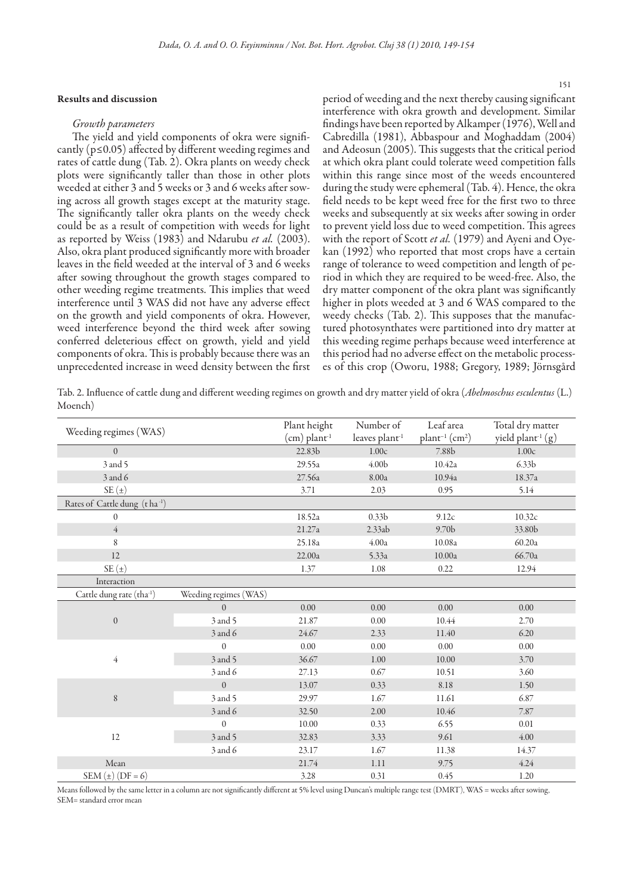# Results and discussion

#### *Growth parameters*

The yield and yield components of okra were significantly ( $p \le 0.05$ ) affected by different weeding regimes and rates of cattle dung (Tab. 2). Okra plants on weedy check plots were significantly taller than those in other plots weeded at either 3 and 5 weeks or 3 and 6 weeks after sowing across all growth stages except at the maturity stage. The significantly taller okra plants on the weedy check could be as a result of competition with weeds for light as reported by Weiss (1983) and Ndarubu *et al.* (2003). Also, okra plant produced significantly more with broader leaves in the field weeded at the interval of 3 and 6 weeks after sowing throughout the growth stages compared to other weeding regime treatments. This implies that weed interference until 3 WAS did not have any adverse effect on the growth and yield components of okra. However, weed interference beyond the third week after sowing conferred deleterious effect on growth, yield and yield components of okra. This is probably because there was an unprecedented increase in weed density between the first

period of weeding and the next thereby causing significant interference with okra growth and development. Similar findings have been reported by Alkamper (1976), Well and Cabredilla (1981), Abbaspour and Moghaddam (2004) and Adeosun (2005). This suggests that the critical period at which okra plant could tolerate weed competition falls within this range since most of the weeds encountered during the study were ephemeral (Tab. 4). Hence, the okra field needs to be kept weed free for the first two to three weeks and subsequently at six weeks after sowing in order to prevent yield loss due to weed competition. This agrees with the report of Scott *et al.* (1979) and Ayeni and Oyekan (1992) who reported that most crops have a certain range of tolerance to weed competition and length of period in which they are required to be weed-free. Also, the dry matter component of the okra plant was significantly higher in plots weeded at 3 and 6 WAS compared to the weedy checks (Tab. 2). This supposes that the manufactured photosynthates were partitioned into dry matter at this weeding regime perhaps because weed interference at this period had no adverse effect on the metabolic processes of this crop (Oworu, 1988; Gregory, 1989; Jörnsgård

Tab. 2. Influence of cattle dung and different weeding regimes on growth and dry matter yield of okra (*Abelmoschus esculentus* (L.) Moench)

| Weeding regimes (WAS)                 |                       | Plant height<br>$(cm)$ plant <sup>-1</sup> | Number of<br>leaves plant <sup>-1</sup> | Leaf area<br>$plant^{-1}$ (cm <sup>2</sup> ) | Total dry matter<br>yield plant <sup>1</sup> (g) |
|---------------------------------------|-----------------------|--------------------------------------------|-----------------------------------------|----------------------------------------------|--------------------------------------------------|
| $\Omega$                              |                       | 22.83b                                     | 1.00c                                   | 7.88b                                        | 1.00c                                            |
| 3 and 5                               |                       | 29.55a                                     | 4.00 <sub>b</sub>                       | 10.42a                                       | 6.33 <sub>b</sub>                                |
| 3 and 6                               |                       | 27.56a                                     | 8.00a                                   | 10.94a                                       | 18.37a                                           |
| $SE(\pm)$                             |                       | 3.71                                       | 2.03                                    | 0.95                                         | 5.14                                             |
| Rates of Cattle dung (t ha-1)         |                       |                                            |                                         |                                              |                                                  |
| $\theta$                              |                       | 18.52a                                     | 0.33 <sub>b</sub>                       | 9.12c                                        | 10.32c                                           |
| $\overline{4}$                        |                       | 21.27a                                     | 2.33ab                                  | 9.70 <sub>b</sub>                            | 33.80b                                           |
| 8                                     |                       | 25.18a                                     | 4.00a                                   | 10.08a                                       | 60.20a                                           |
| 12                                    |                       | 22.00a                                     | 5.33a                                   | 10.00a                                       | 66.70a                                           |
| $SE(\pm)$                             |                       | 1.37                                       | 1.08                                    | 0.22                                         | 12.94                                            |
| Interaction                           |                       |                                            |                                         |                                              |                                                  |
| Cattle dung rate (tha <sup>-1</sup> ) | Weeding regimes (WAS) |                                            |                                         |                                              |                                                  |
|                                       | $\theta$              | 0.00                                       | 0.00                                    | 0.00                                         | 0.00                                             |
| $\boldsymbol{0}$                      | 3 and 5               | 21.87                                      | 0.00                                    | 10.44                                        | 2.70                                             |
|                                       | 3 and 6               | 24.67                                      | 2.33                                    | 11.40                                        | 6.20                                             |
|                                       | $\theta$              | 0.00                                       | 0.00                                    | 0.00                                         | 0.00                                             |
| $\overline{4}$                        | 3 and 5               | 36.67                                      | 1.00                                    | 10.00                                        | 3.70                                             |
|                                       | 3 and 6               | 27.13                                      | 0.67                                    | 10.51                                        | 3.60                                             |
|                                       | $\boldsymbol{0}$      | 13.07                                      | 0.33                                    | 8.18                                         | 1.50                                             |
| $\,$ $\,$                             | 3 and 5               | 29.97                                      | 1.67                                    | 11.61                                        | 6.87                                             |
|                                       | 3 and 6               | 32.50                                      | 2.00                                    | 10.46                                        | 7.87                                             |
|                                       | $\theta$              | 10.00                                      | 0.33                                    | 6.55                                         | 0.01                                             |
| 12                                    | 3 and 5               | 32.83                                      | 3.33                                    | 9.61                                         | 4.00                                             |
|                                       | 3 and 6               | 23.17                                      | 1.67                                    | 11.38                                        | 14.37                                            |
| Mean                                  |                       | 21.74                                      | 1.11                                    | 9.75                                         | 4.24                                             |
| SEM $(\pm)$ (DF = 6)                  |                       | 3.28                                       | 0.31                                    | 0.45                                         | 1.20                                             |

Means followed by the same letter in a column are not significantly different at 5% level using Duncan's multiple range test (DMRT), WAS = weeks after sowing, SEM= standard error mean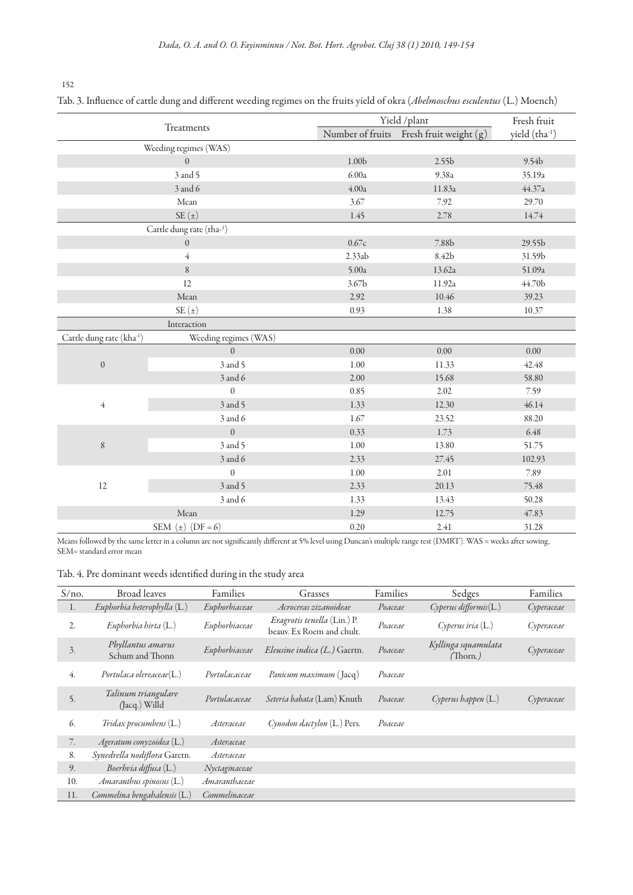152

Tab. 3. Influence of cattle dung and different weeding regimes on the fruits yield of okra (*Abelmoschus esculentus* (L.) Moench)

| Treatments               |                          |                   | Yield /plant                            |                   |  |
|--------------------------|--------------------------|-------------------|-----------------------------------------|-------------------|--|
|                          |                          |                   | Number of fruits Fresh fruit weight (g) | yield (tha-1)     |  |
| Weeding regimes (WAS)    |                          |                   |                                         |                   |  |
|                          | $\overline{0}$           | 1.00 <sub>b</sub> | 2.55 <sub>b</sub>                       | 9.54b             |  |
|                          | 3 and 5                  | 6.00a             | 9.38a                                   | 35.19a            |  |
|                          | 3 and 6                  | 4.00a             | 11.83a                                  | 44.37a            |  |
|                          | Mean                     | 3.67              | 7.92                                    | 29.70             |  |
|                          | $SE(\pm)$                | 1.45              | 2.78                                    |                   |  |
|                          | Cattle dung rate (tha-1) |                   |                                         |                   |  |
|                          | $\overline{0}$           | 0.67c             | 7.88b                                   | 29.55b            |  |
|                          | $\overline{4}$           | 2.33ab            | 8.42b                                   | 31.59b            |  |
|                          | $\,8\,$                  | 5.00a             | 13.62a                                  | 51.09a            |  |
|                          | 12                       | 3.67 <sub>b</sub> | 11.92a                                  | $44.70\mathrm{b}$ |  |
|                          | Mean                     | 2.92              | 10.46                                   | 39.23             |  |
|                          | $SE(\pm)$                | 0.93              | 1.38                                    | 10.37             |  |
|                          | Interaction              |                   |                                         |                   |  |
| Cattle dung rate (kha-1) | Weeding regimes (WAS)    |                   |                                         |                   |  |
|                          | $\boldsymbol{0}$         | $0.00\,$          | 0.00                                    | $0.00\,$          |  |
| $\boldsymbol{0}$         | 3 and 5                  | 1.00              | 11.33                                   | 42.48             |  |
|                          | 3 and 6                  | 2.00              | 15.68                                   | 58.80             |  |
|                          | $\boldsymbol{0}$         | 0.85              | 2.02                                    | 7.59              |  |
| $\overline{4}$           | 3 and 5                  | 1.33              | 12.30                                   | 46.14             |  |
|                          | 3 and 6                  | 1.67              | 23.52                                   | 88.20             |  |
| 8                        | $\boldsymbol{0}$         | 0.33              | 1.73                                    | 6.48              |  |
|                          | 3 and 5                  | $1.00\,$          | 13.80                                   | 51.75             |  |
|                          | 3 and 6                  | 2.33              | 27.45                                   | 102.93            |  |
| 12                       | $\boldsymbol{0}$         | $1.00\,$          | 2.01                                    | 7.89              |  |
|                          | 3 and 5                  | 2.33              | 20.13                                   | 75.48             |  |
|                          | 3 and 6                  | 1.33              | 13.43                                   | 50.28             |  |
|                          | Mean                     | 1.29              | 12.75                                   | 47.83             |  |
|                          | SEM $(\pm)$ (DF = 6)     | 0.20              | 2.41                                    | 31.28             |  |

Means followed by the same letter in a column are not significantly different at 5% level using Duncan's multiple range test (DMRT). WAS = weeks after sowing, SEM= standard error mean

Tab. 4. Pre dominant weeds identified during in the study area

| S/no. | <b>Broad</b> leaves                  | Families      | Grasses                                                  | Families | Sedges                          | Families   |
|-------|--------------------------------------|---------------|----------------------------------------------------------|----------|---------------------------------|------------|
| 1.    | Eupborbia heterophylla (L.)          | Euphorbiaceae | Acroceras zizanoideae                                    | Poaceae  | $Cyperus$ difformis $(L.)$      | Cyperaceae |
| 2.    | Eupborbia birta (L.)                 | Euphorbiaceae | Eragrotis tenella (Lin.) P.<br>beauv. Ex Roem and chult. | Poaceae  | Cyperus iria (L.)               | Cyperaceae |
| 3.    | Phyllantus amarus<br>Schum and Thonn | Euphorbiaceae | <i>Eleusine indica (L.)</i> Gaertn.                      | Poaceae  | Kyllinga squamulata<br>(Thorn.) | Cyperaceae |
| 4.    | $Portulaca$ olereaceae $(L.)$        | Portulacaceae | Panicum maximum (Jacq)                                   | Poaceae  |                                 |            |
| 5.    | Talinum triangulare<br>(Jacq.) Willd | Portulacaceae | Seteria babata (Lam) Knuth                               | Poaceae  | $C$ yperus happen $(L)$         | Cyperaceae |
| 6.    | <i>Tridax procumbens</i> (L.)        | Asteraceae    | Cynodon dactylon $(L.)$ Pers.                            | Poaceae  |                                 |            |
| 7.    | Ageratum conyzoidea (L.)             | Asteraceae    |                                                          |          |                                 |            |
| 8.    | Synedrella nodiflora Garetn.         | Asteraceae    |                                                          |          |                                 |            |
| 9.    | Boerhvia diffusa (L.)                | Nyctaginaceae |                                                          |          |                                 |            |
| 10.   | Amaranthus spinosus (L.)             | Amaranthaceae |                                                          |          |                                 |            |
| 11.   | Commelina bengahalensis (L.)         | Commelinaceae |                                                          |          |                                 |            |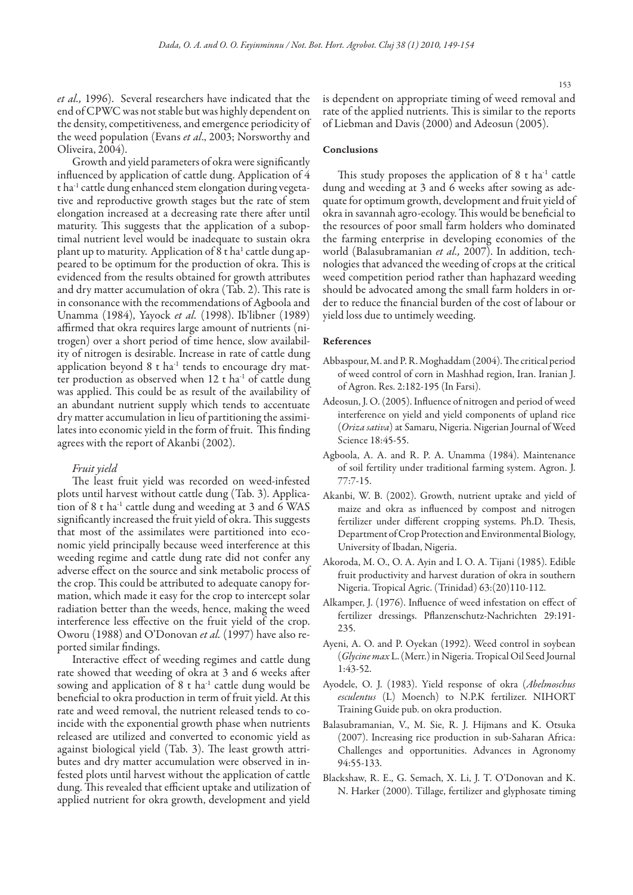*et al.,* 1996). Several researchers have indicated that the end of CPWC was not stable but was highly dependent on the density, competitiveness, and emergence periodicity of the weed population (Evans *et al*., 2003; Norsworthy and Oliveira, 2004).

Growth and yield parameters of okra were significantly influenced by application of cattle dung. Application of 4 t ha-1 cattle dung enhanced stem elongation during vegetative and reproductive growth stages but the rate of stem elongation increased at a decreasing rate there after until maturity. This suggests that the application of a suboptimal nutrient level would be inadequate to sustain okra plant up to maturity. Application of 8 t ha<sup>1</sup> cattle dung appeared to be optimum for the production of okra. This is evidenced from the results obtained for growth attributes and dry matter accumulation of okra (Tab. 2). This rate is in consonance with the recommendations of Agboola and Unamma (1984), Yayock *et al.* (1998). Ib'libner (1989) affirmed that okra requires large amount of nutrients (nitrogen) over a short period of time hence, slow availability of nitrogen is desirable. Increase in rate of cattle dung application beyond  $8$  t ha<sup>-1</sup> tends to encourage dry matter production as observed when 12 t ha<sup>-1</sup> of cattle dung was applied. This could be as result of the availability of an abundant nutrient supply which tends to accentuate dry matter accumulation in lieu of partitioning the assimilates into economic yield in the form of fruit. This finding agrees with the report of Akanbi (2002).

## *Fruit yield*

The least fruit yield was recorded on weed-infested plots until harvest without cattle dung (Tab. 3). Application of 8 t ha-1 cattle dung and weeding at 3 and 6 WAS significantly increased the fruit yield of okra. This suggests that most of the assimilates were partitioned into economic yield principally because weed interference at this weeding regime and cattle dung rate did not confer any adverse effect on the source and sink metabolic process of the crop. This could be attributed to adequate canopy formation, which made it easy for the crop to intercept solar radiation better than the weeds, hence, making the weed interference less effective on the fruit yield of the crop. Oworu (1988) and O'Donovan *et al.* (1997) have also reported similar findings.

Interactive effect of weeding regimes and cattle dung rate showed that weeding of okra at 3 and 6 weeks after sowing and application of  $8$  t ha<sup>-1</sup> cattle dung would be beneficial to okra production in term of fruit yield. At this rate and weed removal, the nutrient released tends to coincide with the exponential growth phase when nutrients released are utilized and converted to economic yield as against biological yield (Tab. 3). The least growth attributes and dry matter accumulation were observed in infested plots until harvest without the application of cattle dung. This revealed that efficient uptake and utilization of applied nutrient for okra growth, development and yield

is dependent on appropriate timing of weed removal and rate of the applied nutrients. This is similar to the reports of Liebman and Davis (2000) and Adeosun (2005).

## Conclusions

This study proposes the application of  $8$  t ha<sup>-1</sup> cattle dung and weeding at 3 and 6 weeks after sowing as adequate for optimum growth, development and fruit yield of okra in savannah agro-ecology. This would be beneficial to the resources of poor small farm holders who dominated the farming enterprise in developing economies of the world (Balasubramanian *et al.,* 2007). In addition, technologies that advanced the weeding of crops at the critical weed competition period rather than haphazard weeding should be advocated among the small farm holders in order to reduce the financial burden of the cost of labour or yield loss due to untimely weeding.

## References

- Abbaspour, M. and P. R. Moghaddam (2004). The critical period of weed control of corn in Mashhad region, Iran. Iranian J. of Agron. Res. 2:182-195 (In Farsi).
- Adeosun, J. O. (2005). Influence of nitrogen and period of weed interference on yield and yield components of upland rice (*Oriza sativa*) at Samaru, Nigeria. Nigerian Journal of Weed Science 18:45-55.
- Agboola, A. A. and R. P. A. Unamma (1984). Maintenance of soil fertility under traditional farming system. Agron. J. 77:7-15.
- Akanbi, W. B. (2002). Growth, nutrient uptake and yield of maize and okra as influenced by compost and nitrogen fertilizer under different cropping systems. Ph.D. Thesis, Department of Crop Protection and Environmental Biology, University of Ibadan, Nigeria.
- Akoroda, M. O., O. A. Ayin and I. O. A. Tijani (1985). Edible fruit productivity and harvest duration of okra in southern Nigeria. Tropical Agric. (Trinidad) 63:(20)110-112.
- Alkamper, J. (1976). Influence of weed infestation on effect of fertilizer dressings. Pflanzenschutz-Nachrichten 29:191- 235.
- Ayeni, A. O. and P. Oyekan (1992). Weed control in soybean (*Glycine max* L. (Merr.) in Nigeria. Tropical Oil Seed Journal 1:43-52.
- Ayodele, O. J. (1983). Yield response of okra (*Abelmoschus esculentus* (L) Moench) to N.P.K fertilizer. NIHORT Training Guide pub. on okra production.
- Balasubramanian, V., M. Sie, R. J. Hijmans and K. Otsuka (2007). Increasing rice production in sub-Saharan Africa: Challenges and opportunities. Advances in Agronomy 94:55-133.
- Blackshaw, R. E., G. Semach, X. Li, J. T. O'Donovan and K. N. Harker (2000). Tillage, fertilizer and glyphosate timing